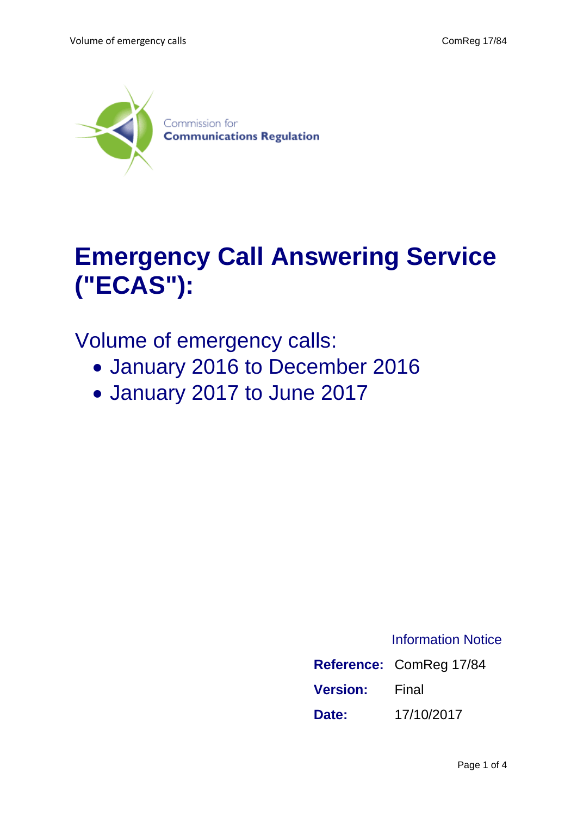

## **Emergency Call Answering Service ("ECAS"):**

## Volume of emergency calls:

- January 2016 to December 2016
- January 2017 to June 2017

## Information Notice

|                 | Reference: ComReg 17/84 |
|-----------------|-------------------------|
| <b>Version:</b> | Final                   |
| Date:           | 17/10/2017              |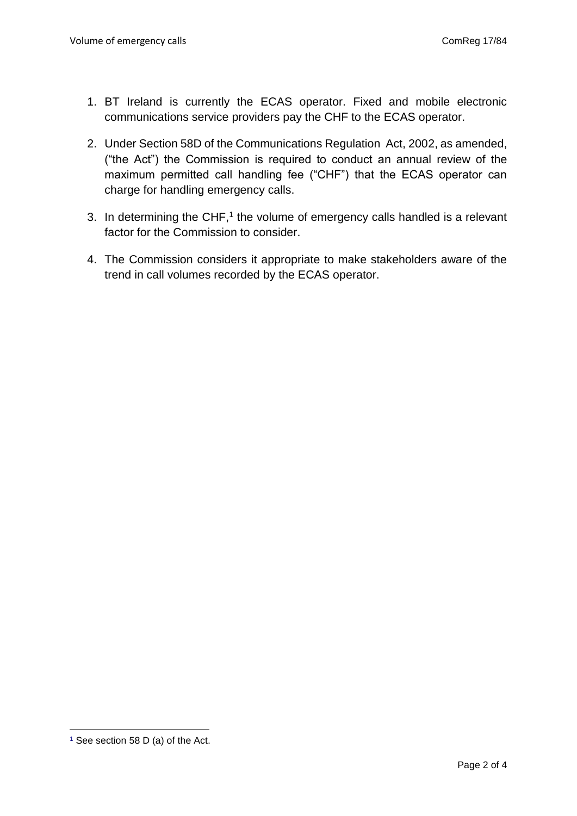- 1. BT Ireland is currently the ECAS operator. Fixed and mobile electronic communications service providers pay the CHF to the ECAS operator.
- 2. Under Section 58D of the Communications Regulation Act, 2002, as amended, ("the Act") the Commission is required to conduct an annual review of the maximum permitted call handling fee ("CHF") that the ECAS operator can charge for handling emergency calls.
- 3. In determining the CHF, $1$  the volume of emergency calls handled is a relevant factor for the Commission to consider.
- 4. The Commission considers it appropriate to make stakeholders aware of the trend in call volumes recorded by the ECAS operator.

**<sup>.</sup>** <sup>1</sup> See section 58 D (a) of the Act.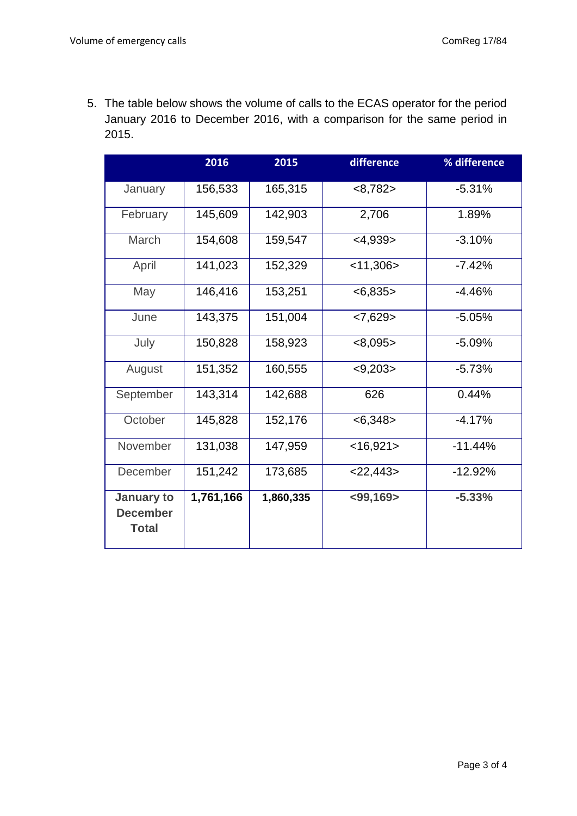5. The table below shows the volume of calls to the ECAS operator for the period January 2016 to December 2016, with a comparison for the same period in 2015.

|                                               | 2016      | 2015      | difference     | % difference |
|-----------------------------------------------|-----------|-----------|----------------|--------------|
| January                                       | 156,533   | 165,315   | <8,782>        | $-5.31%$     |
| February                                      | 145,609   | 142,903   | 2,706          | 1.89%        |
| March                                         | 154,608   | 159,547   | $<$ 4,939>     | $-3.10%$     |
| April                                         | 141,023   | 152,329   | $<$ 11,306 $>$ | $-7.42%$     |
| May                                           | 146,416   | 153,251   | <6,835>        | $-4.46%$     |
| June                                          | 143,375   | 151,004   | < 7,629        | $-5.05%$     |
| July                                          | 150,828   | 158,923   | <8,095>        | $-5.09%$     |
| August                                        | 151,352   | 160,555   | < 9,203        | $-5.73%$     |
| September                                     | 143,314   | 142,688   | 626            | 0.44%        |
| October                                       | 145,828   | 152,176   | < 6,348        | $-4.17%$     |
| November                                      | 131,038   | 147,959   | $<$ 16,921>    | $-11.44%$    |
| December                                      | 151,242   | 173,685   | $<$ 22,443>    | $-12.92%$    |
| January to<br><b>December</b><br><b>Total</b> | 1,761,166 | 1,860,335 | $<$ 99,169>    | $-5.33%$     |